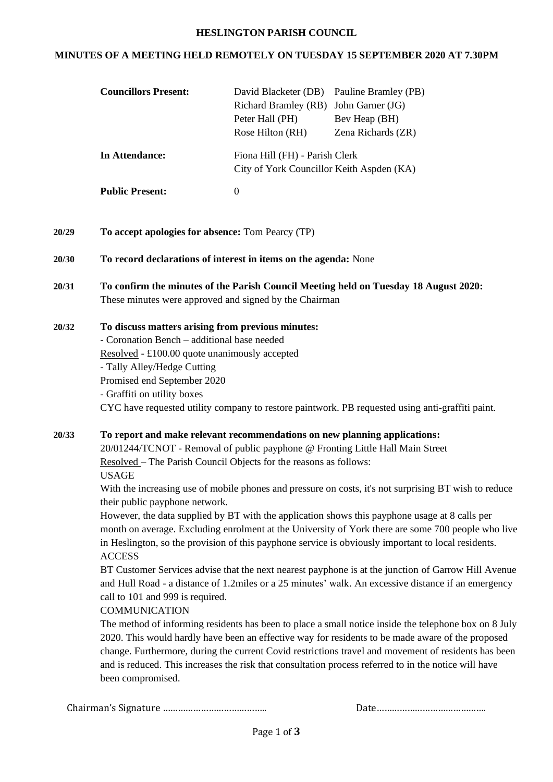#### **HESLINGTON PARISH COUNCIL**

#### **MINUTES OF A MEETING HELD REMOTELY ON TUESDAY 15 SEPTEMBER 2020 AT 7.30PM**

| <b>Councillors Present:</b> | David Blacketer (DB) Pauline Bramley (PB)                                   |                    |
|-----------------------------|-----------------------------------------------------------------------------|--------------------|
|                             | Richard Bramley (RB)                                                        | John Garner (JG)   |
|                             | Peter Hall (PH)                                                             | Bev Heap (BH)      |
|                             | Rose Hilton (RH)                                                            | Zena Richards (ZR) |
| In Attendance:              | Fiona Hill (FH) - Parish Clerk<br>City of York Councillor Keith Aspden (KA) |                    |
| <b>Public Present:</b>      | $\theta$                                                                    |                    |
|                             |                                                                             |                    |

- **20/29 To accept apologies for absence:** Tom Pearcy (TP)
- **20/30 To record declarations of interest in items on the agenda:** None
- **20/31 To confirm the minutes of the Parish Council Meeting held on Tuesday 18 August 2020:** These minutes were approved and signed by the Chairman

#### **20/32 To discuss matters arising from previous minutes:**

- Coronation Bench – additional base needed

Resolved - £100.00 quote unanimously accepted

- Tally Alley/Hedge Cutting

Promised end September 2020

- Graffiti on utility boxes

CYC have requested utility company to restore paintwork. PB requested using anti-graffiti paint.

## **20/33 To report and make relevant recommendations on new planning applications:**

20/01244/TCNOT - Removal of public payphone @ Fronting Little Hall Main Street Resolved – The Parish Council Objects for the reasons as follows: USAGE

With the increasing use of mobile phones and pressure on costs, it's not surprising BT wish to reduce their public payphone network.

However, the data supplied by BT with the application shows this payphone usage at 8 calls per month on average. Excluding enrolment at the University of York there are some 700 people who live in Heslington, so the provision of this payphone service is obviously important to local residents. ACCESS

BT Customer Services advise that the next nearest payphone is at the junction of Garrow Hill Avenue and Hull Road - a distance of 1.2miles or a 25 minutes' walk. An excessive distance if an emergency call to 101 and 999 is required.

## COMMUNICATION

The method of informing residents has been to place a small notice inside the telephone box on 8 July 2020. This would hardly have been an effective way for residents to be made aware of the proposed change. Furthermore, during the current Covid restrictions travel and movement of residents has been and is reduced. This increases the risk that consultation process referred to in the notice will have been compromised.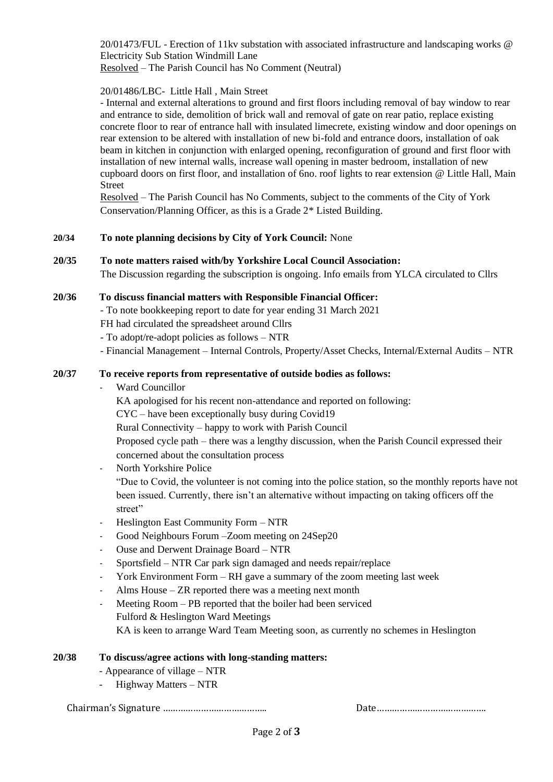20/01473/FUL - Erection of 11kv substation with associated infrastructure and landscaping works @ Electricity Sub Station Windmill Lane Resolved – The Parish Council has No Comment (Neutral)

## 20/01486/LBC- Little Hall , Main Street

- Internal and external alterations to ground and first floors including removal of bay window to rear and entrance to side, demolition of brick wall and removal of gate on rear patio, replace existing concrete floor to rear of entrance hall with insulated limecrete, existing window and door openings on rear extension to be altered with installation of new bi-fold and entrance doors, installation of oak beam in kitchen in conjunction with enlarged opening, reconfiguration of ground and first floor with installation of new internal walls, increase wall opening in master bedroom, installation of new cupboard doors on first floor, and installation of 6no. roof lights to rear extension @ Little Hall, Main Street

Resolved – The Parish Council has No Comments, subject to the comments of the City of York Conservation/Planning Officer, as this is a Grade 2\* Listed Building.

## **20/34 To note planning decisions by City of York Council:** None

#### **20/35 To note matters raised with/by Yorkshire Local Council Association:**

The Discussion regarding the subscription is ongoing. Info emails from YLCA circulated to Cllrs

#### **20/36 To discuss financial matters with Responsible Financial Officer:**

- To note bookkeeping report to date for year ending 31 March 2021

FH had circulated the spreadsheet around Cllrs

- To adopt/re-adopt policies as follows – NTR

- Financial Management – Internal Controls, Property/Asset Checks, Internal/External Audits – NTR

## **20/37 To receive reports from representative of outside bodies as follows:**

Ward Councillor

KA apologised for his recent non-attendance and reported on following:

CYC – have been exceptionally busy during Covid19

Rural Connectivity – happy to work with Parish Council

Proposed cycle path – there was a lengthy discussion, when the Parish Council expressed their concerned about the consultation process

North Yorkshire Police

"Due to Covid, the volunteer is not coming into the police station, so the monthly reports have not been issued. Currently, there isn't an alternative without impacting on taking officers off the street"

- Heslington East Community Form NTR
- Good Neighbours Forum –Zoom meeting on 24Sep20
- Ouse and Derwent Drainage Board NTR
- Sportsfield NTR Car park sign damaged and needs repair/replace
- York Environment Form RH gave a summary of the zoom meeting last week
- Alms House  $-ZR$  reported there was a meeting next month
- Meeting Room PB reported that the boiler had been serviced Fulford & Heslington Ward Meetings KA is keen to arrange Ward Team Meeting soon, as currently no schemes in Heslington

#### **20/38 To discuss/agree actions with long-standing matters:**

- Appearance of village NTR
- Highway Matters NTR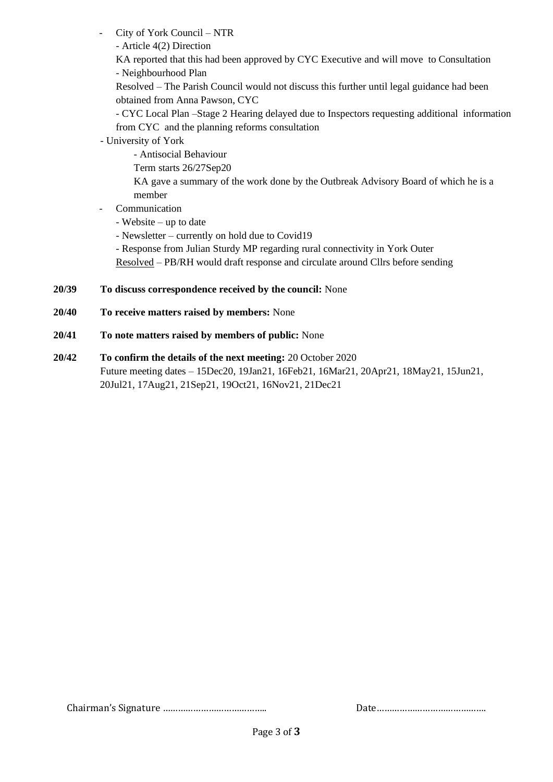City of York Council – NTR

- Article 4(2) Direction

KA reported that this had been approved by CYC Executive and will move to Consultation - Neighbourhood Plan

Resolved – The Parish Council would not discuss this further until legal guidance had been obtained from Anna Pawson, CYC

- CYC Local Plan –Stage 2 Hearing delayed due to Inspectors requesting additional information from CYC and the planning reforms consultation

- University of York

- Antisocial Behaviour

Term starts 26/27Sep20

KA gave a summary of the work done by the Outbreak Advisory Board of which he is a member

**Communication** 

- Website – up to date

- Newsletter – currently on hold due to Covid19

- Response from Julian Sturdy MP regarding rural connectivity in York Outer Resolved – PB/RH would draft response and circulate around Cllrs before sending

# **20/39 To discuss correspondence received by the council:** None

- **20/40 To receive matters raised by members:** None
- **20/41 To note matters raised by members of public:** None
- **20/42 To confirm the details of the next meeting:** 20 October 2020 Future meeting dates – 15Dec20, 19Jan21, 16Feb21, 16Mar21, 20Apr21, 18May21, 15Jun21, 20Jul21, 17Aug21, 21Sep21, 19Oct21, 16Nov21, 21Dec21